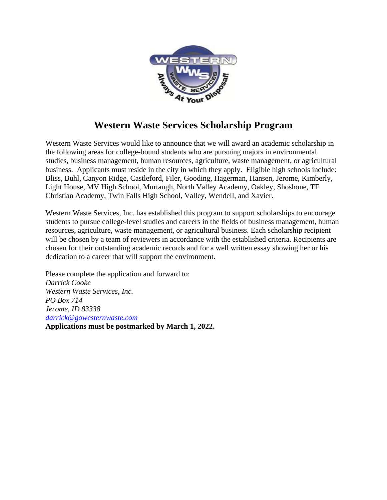

## **Western Waste Services Scholarship Program**

Western Waste Services would like to announce that we will award an academic scholarship in the following areas for college-bound students who are pursuing majors in environmental studies, business management, human resources, agriculture, waste management, or agricultural business. Applicants must reside in the city in which they apply. Eligible high schools include: Bliss, Buhl, Canyon Ridge, Castleford, Filer, Gooding, Hagerman, Hansen, Jerome, Kimberly, Light House, MV High School, Murtaugh, North Valley Academy, Oakley, Shoshone, TF Christian Academy, Twin Falls High School, Valley, Wendell, and Xavier.

Western Waste Services, Inc. has established this program to support scholarships to encourage students to pursue college-level studies and careers in the fields of business management, human resources, agriculture, waste management, or agricultural business. Each scholarship recipient will be chosen by a team of reviewers in accordance with the established criteria. Recipients are chosen for their outstanding academic records and for a well written essay showing her or his dedication to a career that will support the environment.

Please complete the application and forward to: *Darrick Cooke Western Waste Services, Inc. PO Box 714 Jerome, ID 83338 [darrick@gowesternwaste.com](mailto:darrick@gowesternwaste.com)*

**Applications must be postmarked by March 1, 2022.**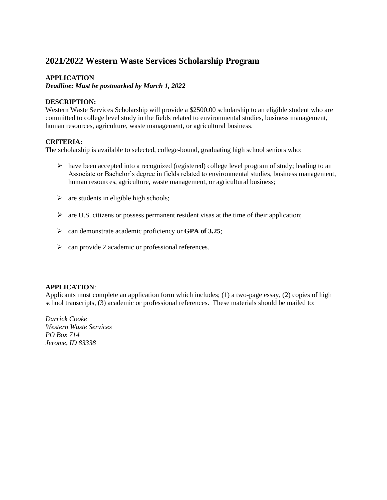### **2021/2022 Western Waste Services Scholarship Program**

#### **APPLICATION**

*Deadline: Must be postmarked by March 1, 2022*

#### **DESCRIPTION:**

Western Waste Services Scholarship will provide a \$2500.00 scholarship to an eligible student who are committed to college level study in the fields related to environmental studies, business management, human resources, agriculture, waste management, or agricultural business.

#### **CRITERIA:**

The scholarship is available to selected, college-bound, graduating high school seniors who:

- ➢ have been accepted into a recognized (registered) college level program of study; leading to an Associate or Bachelor's degree in fields related to environmental studies, business management, human resources, agriculture, waste management, or agricultural business;
- $\triangleright$  are students in eligible high schools;
- ➢ are U.S. citizens or possess permanent resident visas at the time of their application;
- ➢ can demonstrate academic proficiency or **GPA of 3.25**;
- ➢ can provide 2 academic or professional references.

#### **APPLICATION**:

Applicants must complete an application form which includes; (1) a two-page essay, (2) copies of high school transcripts, (3) academic or professional references. These materials should be mailed to:

*Darrick Cooke Western Waste Services PO Box 714 Jerome, ID 83338*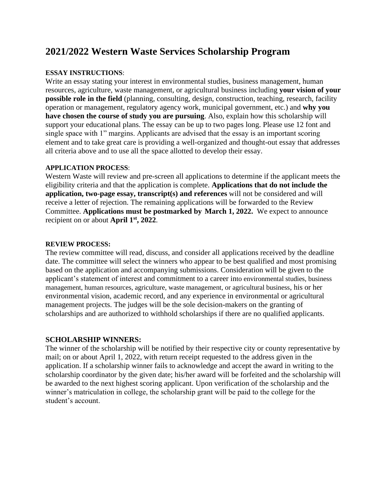### **2021/2022 Western Waste Services Scholarship Program**

#### **ESSAY INSTRUCTIONS**:

Write an essay stating your interest in environmental studies, business management, human resources, agriculture, waste management, or agricultural business including **your vision of your possible role in the field** (planning, consulting, design, construction, teaching, research, facility operation or management, regulatory agency work, municipal government, etc.) and **why you have chosen the course of study you are pursuing**. Also, explain how this scholarship will support your educational plans. The essay can be up to two pages long. Please use 12 font and single space with 1" margins. Applicants are advised that the essay is an important scoring element and to take great care is providing a well-organized and thought-out essay that addresses all criteria above and to use all the space allotted to develop their essay.

#### **APPLICATION PROCESS**:

Western Waste will review and pre-screen all applications to determine if the applicant meets the eligibility criteria and that the application is complete. **Applications that do not include the application, two-page essay, transcript(s) and references** will not be considered and will receive a letter of rejection. The remaining applications will be forwarded to the Review Committee. **Applications must be postmarked by March 1, 2022.** We expect to announce recipient on or about **April 1 st, 2022**.

#### **REVIEW PROCESS:**

The review committee will read, discuss, and consider all applications received by the deadline date. The committee will select the winners who appear to be best qualified and most promising based on the application and accompanying submissions. Consideration will be given to the applicant's statement of interest and commitment to a career into environmental studies, business management, human resources, agriculture, waste management, or agricultural business, his or her environmental vision, academic record, and any experience in environmental or agricultural management projects. The judges will be the sole decision-makers on the granting of scholarships and are authorized to withhold scholarships if there are no qualified applicants.

#### **SCHOLARSHIP WINNERS:**

The winner of the scholarship will be notified by their respective city or county representative by mail; on or about April 1, 2022, with return receipt requested to the address given in the application. If a scholarship winner fails to acknowledge and accept the award in writing to the scholarship coordinator by the given date; his/her award will be forfeited and the scholarship will be awarded to the next highest scoring applicant. Upon verification of the scholarship and the winner's matriculation in college, the scholarship grant will be paid to the college for the student's account.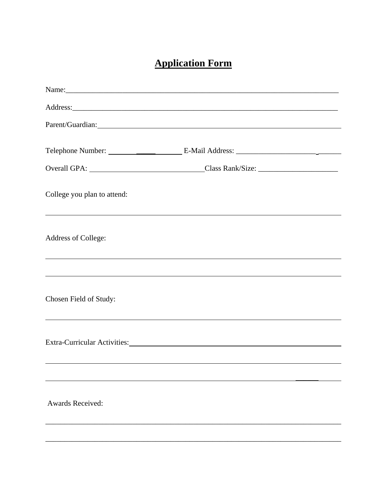# **Application Form**

|                             | Parent/Guardian:                                                                                                                                                                                                               |  |
|-----------------------------|--------------------------------------------------------------------------------------------------------------------------------------------------------------------------------------------------------------------------------|--|
|                             |                                                                                                                                                                                                                                |  |
|                             |                                                                                                                                                                                                                                |  |
| College you plan to attend: | ,我们也不会有什么。""我们的人,我们也不会有什么?""我们的人,我们也不会有什么?""我们的人,我们也不会有什么?""我们的人,我们也不会有什么?""我们的人                                                                                                                                               |  |
| Address of College:         | <u> 1990 - Andrea Andrew Maria (h. 1980).</u><br>1900 - Andrew Maria (h. 1900).                                                                                                                                                |  |
|                             | ,我们也不会有什么。""我们的人,我们也不会有什么?""我们的人,我们也不会有什么?""我们的人,我们也不会有什么?""我们的人,我们也不会有什么?""我们的人                                                                                                                                               |  |
| Chosen Field of Study:      |                                                                                                                                                                                                                                |  |
|                             | Extra-Curricular Activities: Manual Activities: Manual Activities: Manual Activities: Manual Activities: Manual Activities: Manual Activities: Manual Activities: Manual Activities: Manual Activities: Manual Activities: Man |  |
|                             | ,我们也不会有什么。""我们的人,我们也不会有什么?""我们的人,我们也不会有什么?""我们的人,我们也不会有什么?""我们的人,我们也不会有什么?""我们的人                                                                                                                                               |  |
| <b>Awards Received:</b>     |                                                                                                                                                                                                                                |  |
|                             |                                                                                                                                                                                                                                |  |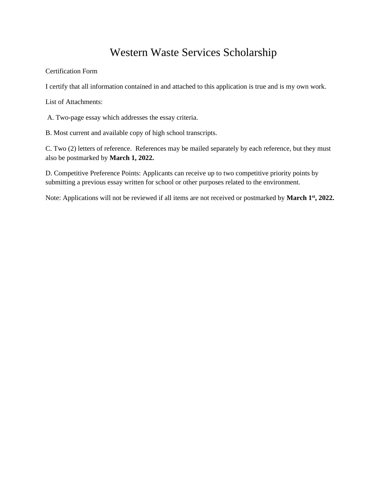## Western Waste Services Scholarship

Certification Form

I certify that all information contained in and attached to this application is true and is my own work.

List of Attachments:

A. Two-page essay which addresses the essay criteria.

B. Most current and available copy of high school transcripts.

C. Two (2) letters of reference. References may be mailed separately by each reference, but they must also be postmarked by **March 1, 2022.**

D. Competitive Preference Points: Applicants can receive up to two competitive priority points by submitting a previous essay written for school or other purposes related to the environment.

Note: Applications will not be reviewed if all items are not received or postmarked by **March 1 st, 2022.**